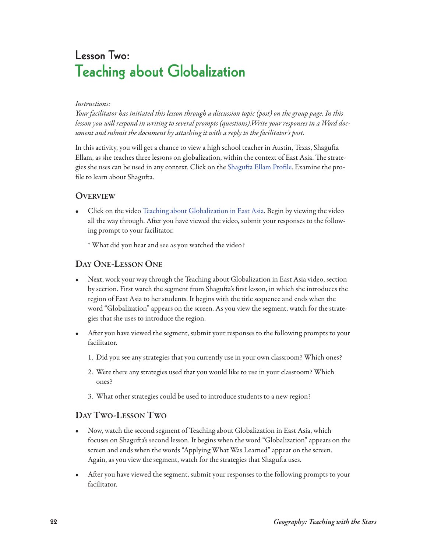# **Lesson Two: Teaching about Globalization**

#### Instructions:

Your facilitator has initiated this lesson through a discussion topic (post) on the group page. In this lesson you will respond in writing to several prompts (questions).Write your responses in a Word document and submit the document by attaching it with a reply to the facilitator's post.

In this activity, you will get a chance to view a high school teacher in Austin, Texas, Shagufta Ellam, as she teaches three lessons on globalization, within the context of East Asia. The strategies she uses can be used in any context. Click on the Shagufta Ellam Profile. Examine the profile to learn about Shagufta.

#### **oVerVIeW**

• Click on the video [Teaching about Globalization in East Asia.](http://www.geoteach.org/teacher_resources/globalization/video/teaching_globalization.php) Begin by viewing the video all the way through. After you have viewed the video, submit your responses to the following prompt to your facilitator.

\* What did you hear and see as you watched the video?

## **daY one-lesson one**

- Next, work your way through the Teaching about Globalization in East Asia video, section by section. First watch the segment from Shagufta's first lesson, in which she introduces the region of East Asia to her students. It begins with the title sequence and ends when the word "Globalization" appears on the screen. As you view the segment, watch for the strategies that she uses to introduce the region.
- After you have viewed the segment, submit your responses to the following prompts to your facilitator.
	- 1. Did you see any strategies that you currently use in your own classroom? Which ones?
	- 2. Were there any strategies used that you would like to use in your classroom? Which ones?
	- 3. What other strategies could be used to introduce students to a new region?

### **daY tWo-lesson tWo**

- Now, watch the second segment of Teaching about Globalization in East Asia, which focuses on Shagufta's second lesson. It begins when the word "Globalization" appears on the screen and ends when the words "Applying What Was Learned" appear on the screen. Again, as you view the segment, watch for the strategies that Shagufta uses.
- After you have viewed the segment, submit your responses to the following prompts to your facilitator.